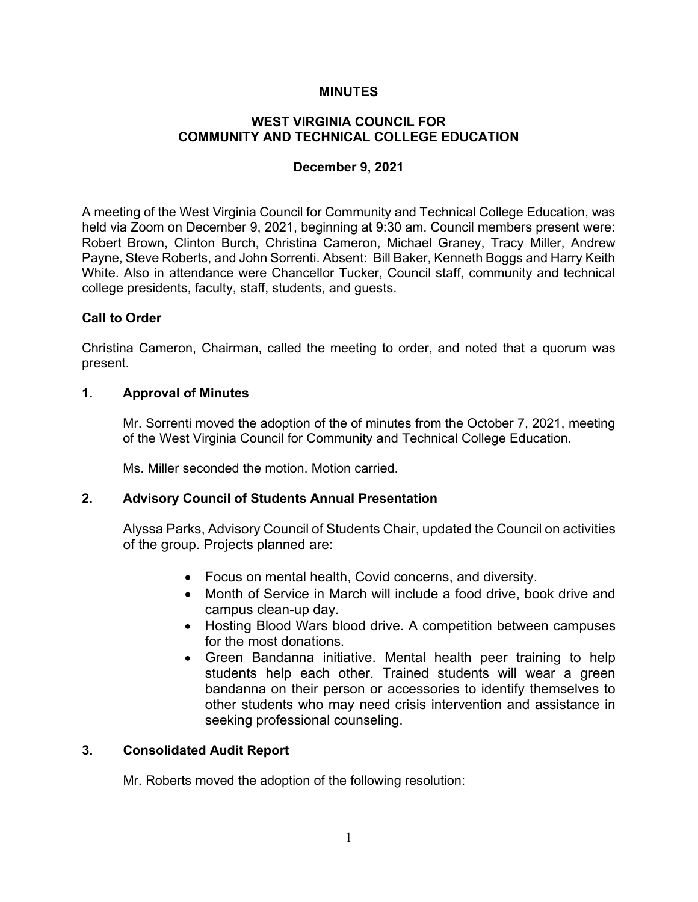#### **MINUTES**

# **WEST VIRGINIA COUNCIL FOR COMMUNITY AND TECHNICAL COLLEGE EDUCATION**

#### **December 9, 2021**

A meeting of the West Virginia Council for Community and Technical College Education, was held via Zoom on December 9, 2021, beginning at 9:30 am. Council members present were: Robert Brown, Clinton Burch, Christina Cameron, Michael Graney, Tracy Miller, Andrew Payne, Steve Roberts, and John Sorrenti. Absent: Bill Baker, Kenneth Boggs and Harry Keith White. Also in attendance were Chancellor Tucker, Council staff, community and technical college presidents, faculty, staff, students, and guests.

#### **Call to Order**

Christina Cameron, Chairman, called the meeting to order, and noted that a quorum was present.

#### **1. Approval of Minutes**

Mr. Sorrenti moved the adoption of the of minutes from the October 7, 2021, meeting of the West Virginia Council for Community and Technical College Education.

Ms. Miller seconded the motion. Motion carried.

## **2. Advisory Council of Students Annual Presentation**

Alyssa Parks, Advisory Council of Students Chair, updated the Council on activities of the group. Projects planned are:

- Focus on mental health, Covid concerns, and diversity.
- Month of Service in March will include a food drive, book drive and campus clean-up day.
- Hosting Blood Wars blood drive. A competition between campuses for the most donations.
- Green Bandanna initiative. Mental health peer training to help students help each other. Trained students will wear a green bandanna on their person or accessories to identify themselves to other students who may need crisis intervention and assistance in seeking professional counseling.

#### **3. Consolidated Audit Report**

Mr. Roberts moved the adoption of the following resolution: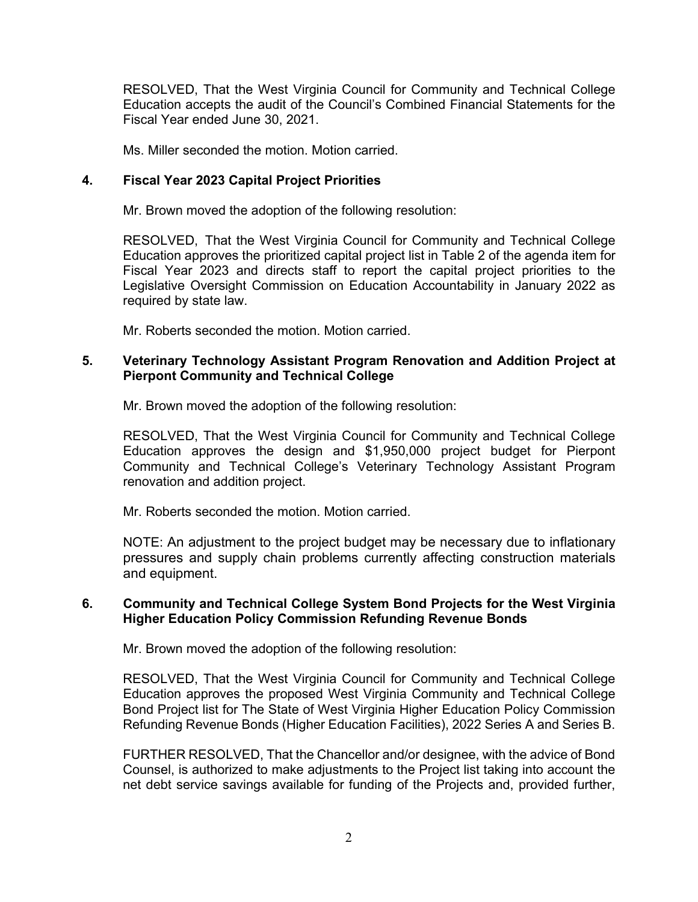RESOLVED, That the West Virginia Council for Community and Technical College Education accepts the audit of the Council's Combined Financial Statements for the Fiscal Year ended June 30, 2021.

Ms. Miller seconded the motion. Motion carried.

# **4. Fiscal Year 2023 Capital Project Priorities**

Mr. Brown moved the adoption of the following resolution:

RESOLVED, That the West Virginia Council for Community and Technical College Education approves the prioritized capital project list in Table 2 of the agenda item for Fiscal Year 2023 and directs staff to report the capital project priorities to the Legislative Oversight Commission on Education Accountability in January 2022 as required by state law.

Mr. Roberts seconded the motion. Motion carried.

## **5. Veterinary Technology Assistant Program Renovation and Addition Project at Pierpont Community and Technical College**

Mr. Brown moved the adoption of the following resolution:

RESOLVED, That the West Virginia Council for Community and Technical College Education approves the design and \$1,950,000 project budget for Pierpont Community and Technical College's Veterinary Technology Assistant Program renovation and addition project.

Mr. Roberts seconded the motion. Motion carried.

NOTE: An adjustment to the project budget may be necessary due to inflationary pressures and supply chain problems currently affecting construction materials and equipment.

## **6. Community and Technical College System Bond Projects for the West Virginia Higher Education Policy Commission Refunding Revenue Bonds**

Mr. Brown moved the adoption of the following resolution:

RESOLVED, That the West Virginia Council for Community and Technical College Education approves the proposed West Virginia Community and Technical College Bond Project list for The State of West Virginia Higher Education Policy Commission Refunding Revenue Bonds (Higher Education Facilities), 2022 Series A and Series B.

FURTHER RESOLVED, That the Chancellor and/or designee, with the advice of Bond Counsel, is authorized to make adjustments to the Project list taking into account the net debt service savings available for funding of the Projects and, provided further,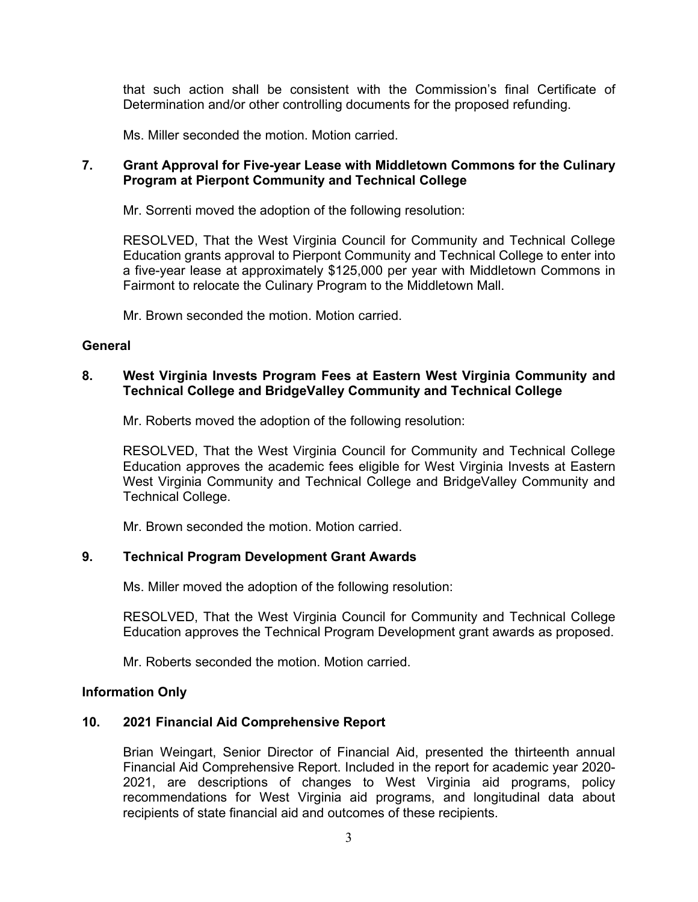that such action shall be consistent with the Commission's final Certificate of Determination and/or other controlling documents for the proposed refunding.

Ms. Miller seconded the motion. Motion carried.

# **7. Grant Approval for Five-year Lease with Middletown Commons for the Culinary Program at Pierpont Community and Technical College**

Mr. Sorrenti moved the adoption of the following resolution:

RESOLVED, That the West Virginia Council for Community and Technical College Education grants approval to Pierpont Community and Technical College to enter into a five-year lease at approximately \$125,000 per year with Middletown Commons in Fairmont to relocate the Culinary Program to the Middletown Mall.

Mr. Brown seconded the motion. Motion carried.

## **General**

# **8. West Virginia Invests Program Fees at Eastern West Virginia Community and Technical College and BridgeValley Community and Technical College**

Mr. Roberts moved the adoption of the following resolution:

RESOLVED, That the West Virginia Council for Community and Technical College Education approves the academic fees eligible for West Virginia Invests at Eastern West Virginia Community and Technical College and BridgeValley Community and Technical College.

Mr. Brown seconded the motion. Motion carried.

## **9. Technical Program Development Grant Awards**

Ms. Miller moved the adoption of the following resolution:

RESOLVED, That the West Virginia Council for Community and Technical College Education approves the Technical Program Development grant awards as proposed.

Mr. Roberts seconded the motion. Motion carried.

#### **Information Only**

## **10. 2021 Financial Aid Comprehensive Report**

Brian Weingart, Senior Director of Financial Aid, presented the thirteenth annual Financial Aid Comprehensive Report. Included in the report for academic year 2020- 2021, are descriptions of changes to West Virginia aid programs, policy recommendations for West Virginia aid programs, and longitudinal data about recipients of state financial aid and outcomes of these recipients.